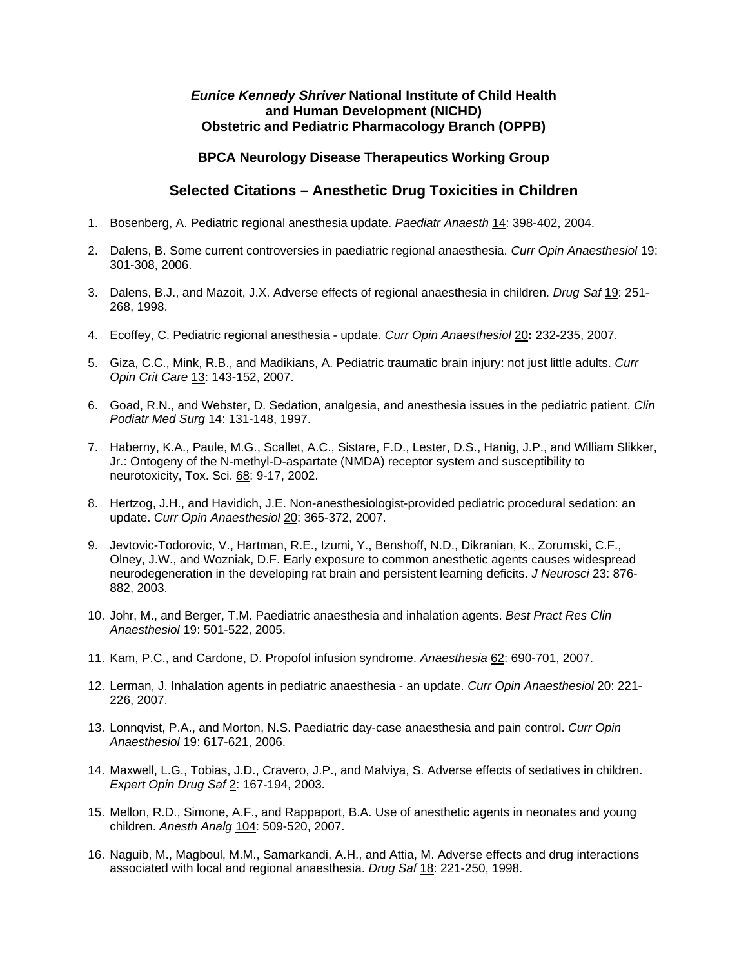## *Eunice Kennedy Shriver* **National Institute of Child Health and Human Development (NICHD) Obstetric and Pediatric Pharmacology Branch (OPPB)**

## **BPCA Neurology Disease Therapeutics Working Group**

## **Selected Citations – Anesthetic Drug Toxicities in Children**

- 1. Bosenberg, A. Pediatric regional anesthesia update. *Paediatr Anaesth* 14: 398-402, 2004.
- 2. Dalens, B. Some current controversies in paediatric regional anaesthesia. *Curr Opin Anaesthesiol* 19: 301-308, 2006.
- 3. Dalens, B.J., and Mazoit, J.X. Adverse effects of regional anaesthesia in children. *Drug Saf* 19: 251- 268, 1998.
- 4. Ecoffey, C. Pediatric regional anesthesia update. *Curr Opin Anaesthesiol* 20**:** 232-235, 2007.
- 5. Giza, C.C., Mink, R.B., and Madikians, A. Pediatric traumatic brain injury: not just little adults. *Curr Opin Crit Care* 13: 143-152, 2007.
- 6. Goad, R.N., and Webster, D. Sedation, analgesia, and anesthesia issues in the pediatric patient. *Clin Podiatr Med Surg* 14: 131-148, 1997.
- 7. Haberny, K.A., Paule, M.G., Scallet, A.C., Sistare, F.D., Lester, D.S., Hanig, J.P., and William Slikker, Jr.: Ontogeny of the N-methyl-D-aspartate (NMDA) receptor system and susceptibility to neurotoxicity, Tox. Sci. 68: 9-17, 2002.
- 8. Hertzog, J.H., and Havidich, J.E. Non-anesthesiologist-provided pediatric procedural sedation: an update. *Curr Opin Anaesthesiol* 20: 365-372, 2007.
- 9. Jevtovic-Todorovic, V., Hartman, R.E., Izumi, Y., Benshoff, N.D., Dikranian, K., Zorumski, C.F., Olney, J.W., and Wozniak, D.F. Early exposure to common anesthetic agents causes widespread neurodegeneration in the developing rat brain and persistent learning deficits. *J Neurosci* 23: 876- 882, 2003.
- 10. Johr, M., and Berger, T.M. Paediatric anaesthesia and inhalation agents. *Best Pract Res Clin Anaesthesiol* 19: 501-522, 2005.
- 11. Kam, P.C., and Cardone, D. Propofol infusion syndrome. *Anaesthesia* 62: 690-701, 2007.
- 12. Lerman, J. Inhalation agents in pediatric anaesthesia an update. *Curr Opin Anaesthesiol* 20: 221- 226, 2007.
- 13. Lonnqvist, P.A., and Morton, N.S. Paediatric day-case anaesthesia and pain control. *Curr Opin Anaesthesiol* 19: 617-621, 2006.
- 14. Maxwell, L.G., Tobias, J.D., Cravero, J.P., and Malviya, S. Adverse effects of sedatives in children. *Expert Opin Drug Saf* 2: 167-194, 2003.
- 15. Mellon, R.D., Simone, A.F., and Rappaport, B.A. Use of anesthetic agents in neonates and young children. *Anesth Analg* 104: 509-520, 2007.
- 16. Naguib, M., Magboul, M.M., Samarkandi, A.H., and Attia, M. Adverse effects and drug interactions associated with local and regional anaesthesia. *Drug Saf* 18: 221-250, 1998.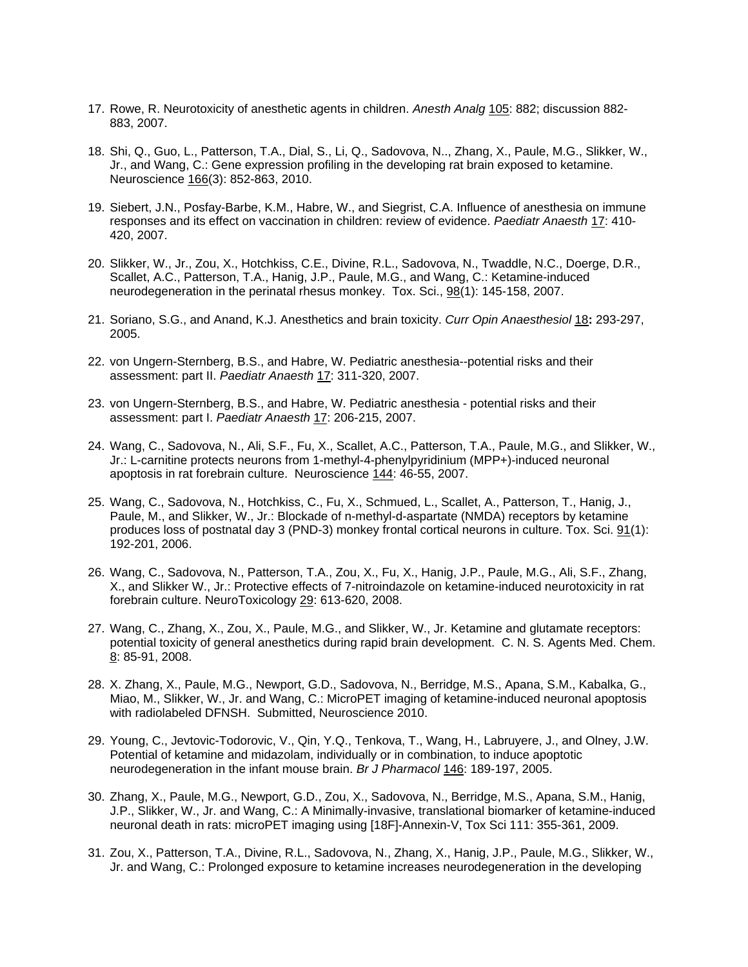- 17. Rowe, R. Neurotoxicity of anesthetic agents in children. *Anesth Analg* 105: 882; discussion 882- 883, 2007.
- 18. Shi, Q., Guo, L., Patterson, T.A., Dial, S., Li, Q., Sadovova, N.., Zhang, X., Paule, M.G., Slikker, W., Jr., and Wang, C.: Gene expression profiling in the developing rat brain exposed to ketamine. Neuroscience 166(3): 852-863, 2010.
- 19. Siebert, J.N., Posfay-Barbe, K.M., Habre, W., and Siegrist, C.A. Influence of anesthesia on immune responses and its effect on vaccination in children: review of evidence. *Paediatr Anaesth* 17: 410- 420, 2007.
- 20. Slikker, W., Jr., Zou, X., Hotchkiss, C.E., Divine, R.L., Sadovova, N., Twaddle, N.C., Doerge, D.R., Scallet, A.C., Patterson, T.A., Hanig, J.P., Paule, M.G., and Wang, C.: Ketamine-induced neurodegeneration in the perinatal rhesus monkey. Tox. Sci., 98(1): 145-158, 2007.
- 21. Soriano, S.G., and Anand, K.J. Anesthetics and brain toxicity. *Curr Opin Anaesthesiol* 18**:** 293-297, 2005.
- 22. von Ungern-Sternberg, B.S., and Habre, W. Pediatric anesthesia--potential risks and their assessment: part II. *Paediatr Anaesth* 17: 311-320, 2007.
- 23. von Ungern-Sternberg, B.S., and Habre, W. Pediatric anesthesia potential risks and their assessment: part I. *Paediatr Anaesth* 17: 206-215, 2007.
- 24. Wang, C., Sadovova, N., Ali, S.F., Fu, X., Scallet, A.C., Patterson, T.A., Paule, M.G., and Slikker, W., Jr.: L-carnitine protects neurons from 1-methyl-4-phenylpyridinium (MPP+)-induced neuronal apoptosis in rat forebrain culture. Neuroscience 144: 46-55, 2007.
- 25. Wang, C., Sadovova, N., Hotchkiss, C., Fu, X., Schmued, L., Scallet, A., Patterson, T., Hanig, J., Paule, M., and Slikker, W., Jr.: Blockade of n-methyl-d-aspartate (NMDA) receptors by ketamine produces loss of postnatal day 3 (PND-3) monkey frontal cortical neurons in culture. Tox. Sci. 91(1): 192-201, 2006.
- 26. Wang, C., Sadovova, N., Patterson, T.A., Zou, X., Fu, X., Hanig, J.P., Paule, M.G., Ali, S.F., Zhang, X., and Slikker W., Jr.: Protective effects of 7-nitroindazole on ketamine-induced neurotoxicity in rat forebrain culture. NeuroToxicology 29: 613-620, 2008.
- 27. Wang, C., Zhang, X., Zou, X., Paule, M.G., and Slikker, W., Jr. Ketamine and glutamate receptors: potential toxicity of general anesthetics during rapid brain development. C. N. S. Agents Med. Chem. 8: 85-91, 2008.
- 28. X. Zhang, X., Paule, M.G., Newport, G.D., Sadovova, N., Berridge, M.S., Apana, S.M., Kabalka, G., Miao, M., Slikker, W., Jr. and Wang, C.: MicroPET imaging of ketamine-induced neuronal apoptosis with radiolabeled DFNSH. Submitted, Neuroscience 2010.
- 29. Young, C., Jevtovic-Todorovic, V., Qin, Y.Q., Tenkova, T., Wang, H., Labruyere, J., and Olney, J.W. Potential of ketamine and midazolam, individually or in combination, to induce apoptotic neurodegeneration in the infant mouse brain. *Br J Pharmacol* 146: 189-197, 2005.
- 30. Zhang, X., Paule, M.G., Newport, G.D., Zou, X., Sadovova, N., Berridge, M.S., Apana, S.M., Hanig, J.P., Slikker, W., Jr. and Wang, C.: A Minimally-invasive, translational biomarker of ketamine-induced neuronal death in rats: microPET imaging using [18F]-Annexin-V, Tox Sci 111: 355-361, 2009.
- 31. Zou, X., Patterson, T.A., Divine, R.L., Sadovova, N., Zhang, X., Hanig, J.P., Paule, M.G., Slikker, W., Jr. and Wang, C.: Prolonged exposure to ketamine increases neurodegeneration in the developing